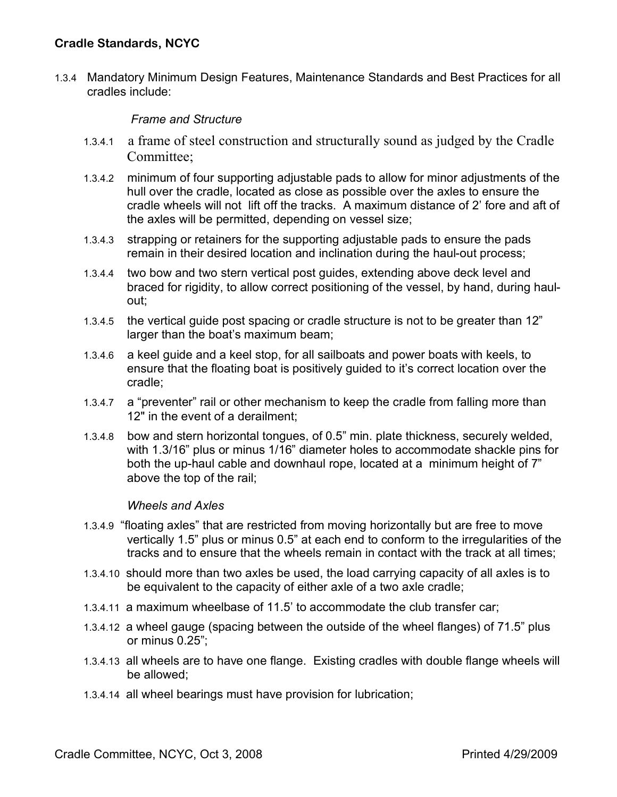1.3.4 Mandatory Minimum Design Features, Maintenance Standards and Best Practices for all cradles include:

## *Frame and Structure*

- 1.3.4.1 a frame of steel construction and structurally sound as judged by the Cradle Committee:
- 1.3.4.2 minimum of four supporting adjustable pads to allow for minor adjustments of the hull over the cradle, located as close as possible over the axles to ensure the cradle wheels will not lift off the tracks. A maximum distance of 2' fore and aft of the axles will be permitted, depending on vessel size;
- 1.3.4.3 strapping or retainers for the supporting adjustable pads to ensure the pads remain in their desired location and inclination during the haul-out process;
- 1.3.4.4 two bow and two stern vertical post guides, extending above deck level and braced for rigidity, to allow correct positioning of the vessel, by hand, during haulout;
- 1.3.4.5 the vertical guide post spacing or cradle structure is not to be greater than 12" larger than the boat's maximum beam;
- 1.3.4.6 a keel guide and a keel stop, for all sailboats and power boats with keels, to ensure that the floating boat is positively guided to it's correct location over the cradle;
- 1.3.4.7 a "preventer" rail or other mechanism to keep the cradle from falling more than 12" in the event of a derailment;
- 1.3.4.8 bow and stern horizontal tongues, of 0.5" min. plate thickness, securely welded, with 1.3/16" plus or minus 1/16" diameter holes to accommodate shackle pins for both the up-haul cable and downhaul rope, located at a minimum height of 7" above the top of the rail;

## *Wheels and Axles*

- 1.3.4.9 "floating axles" that are restricted from moving horizontally but are free to move vertically 1.5" plus or minus 0.5" at each end to conform to the irregularities of the tracks and to ensure that the wheels remain in contact with the track at all times;
- 1.3.4.10 should more than two axles be used, the load carrying capacity of all axles is to be equivalent to the capacity of either axle of a two axle cradle;
- 1.3.4.11 a maximum wheelbase of 11.5' to accommodate the club transfer car;
- 1.3.4.12 a wheel gauge (spacing between the outside of the wheel flanges) of 71.5" plus or minus 0.25";
- 1.3.4.13 all wheels are to have one flange. Existing cradles with double flange wheels will be allowed;
- 1.3.4.14 all wheel bearings must have provision for lubrication;